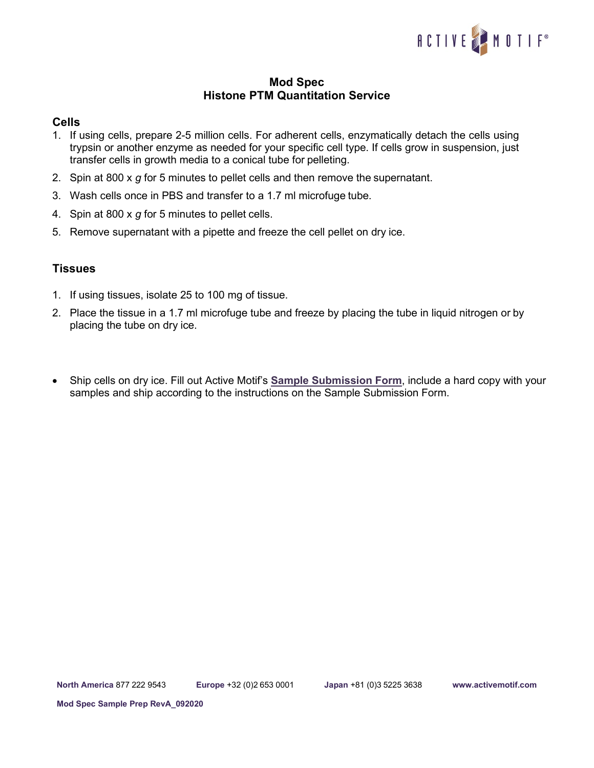

## **Mod Spec Histone PTM Quantitation Service**

## **Cells**

- 1. If using cells, prepare 2-5 million cells. For adherent cells, enzymatically detach the cells using trypsin or another enzyme as needed for your specific cell type. If cells grow in suspension, just transfer cells in growth media to a conical tube for pelleting.
- 2. Spin at 800 x *g* for 5 minutes to pellet cells and then remove the supernatant.
- 3. Wash cells once in PBS and transfer to a 1.7 ml microfuge tube.
- 4. Spin at 800 x *g* for 5 minutes to pellet cells.
- 5. Remove supernatant with a pipette and freeze the cell pellet on dry ice.

## **Tissues**

- 1. If using tissues, isolate 25 to 100 mg of tissue.
- 2. Place the tissue in a 1.7 ml microfuge tube and freeze by placing the tube in liquid nitrogen or by placing the tube on dry ice.
- Ship cells on dry ice. Fill out Active Motif's **[Sample Submission Form](https://www.activemotif.com/catalog/1143/histone-ptm-quantitation-services)**, include a hard copy with your samples and ship according to the instructions on the Sample Submission Form.